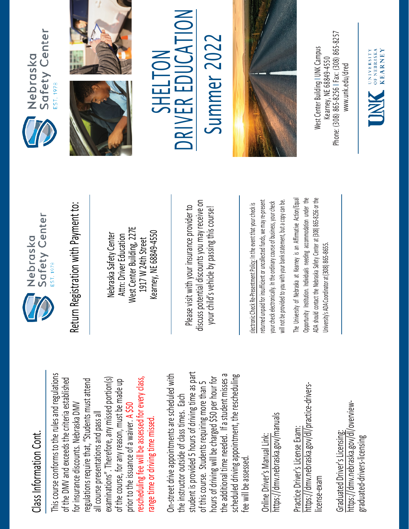## Class Information Cont. Class Information Cont.

This course conforms to the rules and regulations This course conforms to the rules and regulations rescheduling fee will be assessed for every class, examinations". Therefore, any missed portion(s) of the DMV and exceeds the criteria established regulations require that, "Students must attend rescheduling fee will be assessed for every class, of the DMV and exceeds the criteria established examinations". Therefore, any missed portion(s) of the course, for any reason, must be made up regulations require that, "Students must attend of the course, for any reason, must be made up for insurance discounts. Nebraska DMV for insurance discounts. Nebraska DMV prior to the issuance of a waiver. A \$50 all course presentations and pass all all course presentations and pass all range time or driving time missed. range time or driving time missed. prior to the issuance of a waiver.

student is provided 5 hours of driving time as part On-street drive appointments are scheduled with student is provided 5 hours of driving time as part the additional time needed. If a student misses a scheduled driving appointment, the rescheduling the additional time needed. If a student misses a On-street drive appointments are scheduled with hours of driving will be charged \$50 per hour for hours of driving will be charged \$50 per hour for scheduled driving appointment, the rescheduling of this course. Students requiring more than 5 of this course. Students requiring more than 5 the instructor outside of class times. Each the instructor outside of class times. Each fee will be assessed. fee will be assessed

https://dmv.nebraska.gov/manuals https://dmv.nebraska.gov/manuals Online Driver's Manual Link: Online Driver's Manual Link:

https://dmv.nebraska.gov/dl/practice-drivershttps://dmv.nebraska.gov/dl/practice-drivers-Practice Driver's License Exam: Practice Driver's License Exam: license-exam icense-exam

https://dmv.nebraska.gov/dl/overviewhttps://dmv.nebraska.gov/dl/overview-Graduated Driver's Licensing: Graduated Driver's Licensing: graduated-drivers-licensing graduated-drivers-licensing



Nebraska Safety Center Attn: Driver Education West Center Building, 227E 1917 W 24th Street Kearney, NE 68849-4550

Please visit with your insurance provider to discuss potential discounts you may receive on your child's vehicle by passing this course! Return Registration with Payment to:<br>
Nebraska Safety Center<br>
Attn: Driver Education<br>
1917 W 24th Street<br>
Rearney, NE 68849-4550<br>
Rease visit with your insurance provider to<br>
Please visit with your insurance provider to<br>
y

returned unpaid for insufficient or uncollected funds, we may re-present a copy can be. returned unpaid for insufficient or uncollected funds, we may re-present will not be provided to you with your bank statement, but a copy can be. your check electronically. In the ordinary course of business, your check your check electronically. In the ordinary course of business, your check will not be provided to you with your bank statement, but

The University of Nebraska at Kearney is an Affirmative Action/Equal The University of Nebraska at Kearney is an Affirmative Action/Equal Opportunity Institution. Individuals needing accommodation under the ADA should contact the Nebraska Safety Center at (308) 865-8256 or the Opportunity Institution. Individuals needing accommodation under the ADA should contact the Nebraska Safety Center at (308) 865-8256 or the Jniversity's ADA Coordinator at (308) 865-8655. University's ADA Coordinator at (308) 86







TO L Summer 2022 R EDUCA SHELI**UN** SHELTON E **KIVE NC** 

Summer 202



Phone: (308) 865-8256 | Fax: (308) 865-8257 West Center Building I UNK Campus Nest Center Building I UNK Campus -8256 I Fax: (308) 865 Kearney, NE 68849-4550 www.unk.edu/dred [www.unk.edu/dred](http://www.unk.edu/dred) Kearney, NE 68849 Phone: (308) 865

UNIVERSITY<br>
OF NEBRASKA<br>
KFARNEY

**KEARNEY**